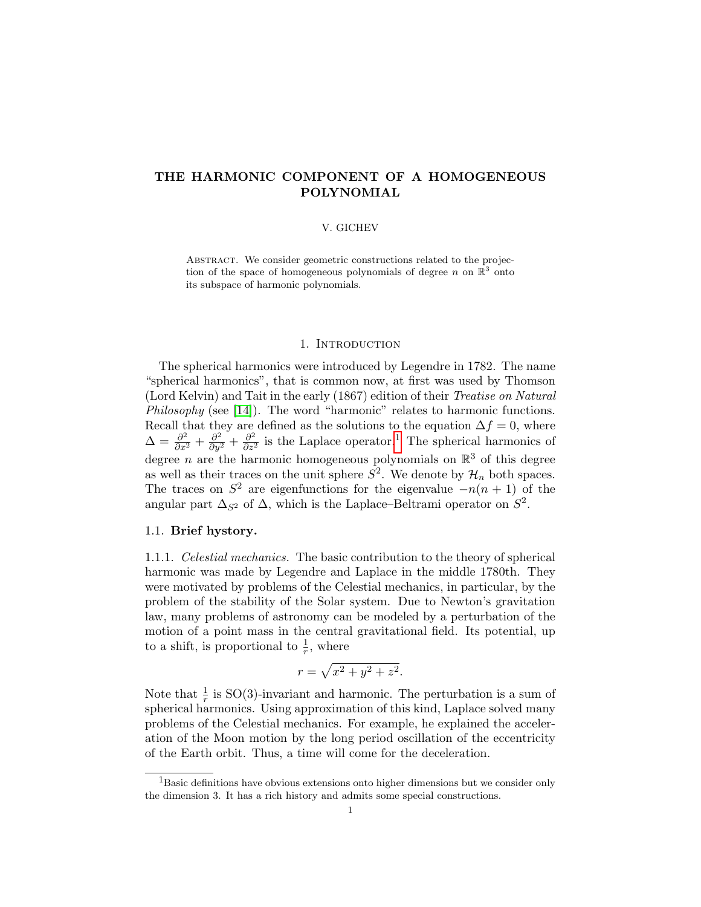# THE HARMONIC COMPONENT OF A HOMOGENEOUS POLYNOMIAL

## V. GICHEV

ABSTRACT. We consider geometric constructions related to the projection of the space of homogeneous polynomials of degree n on  $\mathbb{R}^3$  onto its subspace of harmonic polynomials.

## 1. INTRODUCTION

The spherical harmonics were introduced by Legendre in 1782. The name "spherical harmonics", that is common now, at first was used by Thomson (Lord Kelvin) and Tait in the early (1867) edition of their Treatise on Natural Philosophy (see [\[14\]](#page-10-0)). The word "harmonic" relates to harmonic functions. Recall that they are defined as the solutions to the equation  $\Delta f = 0$ , where  $\Delta = \frac{\partial^2}{\partial x^2} + \frac{\partial^2}{\partial y^2} + \frac{\partial^2}{\partial z^2}$  is the Laplace operator.<sup>[1](#page-0-0)</sup> The spherical harmonics of degree *n* are the harmonic homogeneous polynomials on  $\mathbb{R}^3$  of this degree as well as their traces on the unit sphere  $S^2$ . We denote by  $\mathcal{H}_n$  both spaces. The traces on  $S^2$  are eigenfunctions for the eigenvalue  $-n(n+1)$  of the angular part  $\Delta_{S^2}$  of  $\Delta$ , which is the Laplace–Beltrami operator on  $S^2$ .

# 1.1. Brief hystory.

1.1.1. Celestial mechanics. The basic contribution to the theory of spherical harmonic was made by Legendre and Laplace in the middle 1780th. They were motivated by problems of the Celestial mechanics, in particular, by the problem of the stability of the Solar system. Due to Newton's gravitation law, many problems of astronomy can be modeled by a perturbation of the motion of a point mass in the central gravitational field. Its potential, up to a shift, is proportional to  $\frac{1}{r}$ , where

$$
r = \sqrt{x^2 + y^2 + z^2}.
$$

Note that  $\frac{1}{r}$  is SO(3)-invariant and harmonic. The perturbation is a sum of spherical harmonics. Using approximation of this kind, Laplace solved many problems of the Celestial mechanics. For example, he explained the acceleration of the Moon motion by the long period oscillation of the eccentricity of the Earth orbit. Thus, a time will come for the deceleration.

<span id="page-0-0"></span> ${}^{1}$ Basic definitions have obvious extensions onto higher dimensions but we consider only the dimension 3. It has a rich history and admits some special constructions.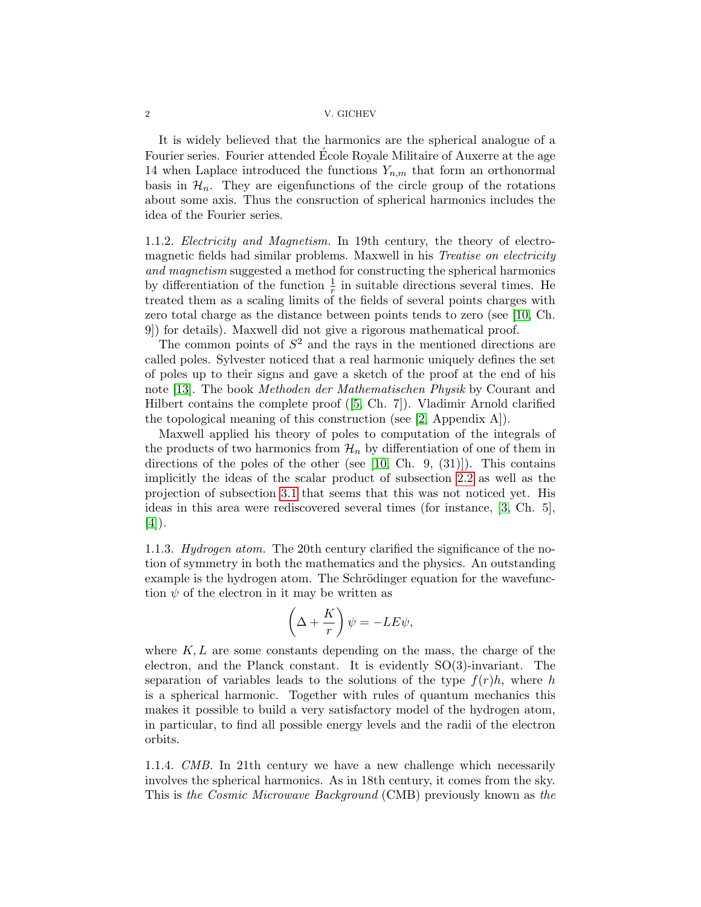### 2 V. GICHEV

It is widely believed that the harmonics are the spherical analogue of a Fourier series. Fourier attended École Royale Militaire of Auxerre at the age 14 when Laplace introduced the functions  $Y_{n,m}$  that form an orthonormal basis in  $\mathcal{H}_n$ . They are eigenfunctions of the circle group of the rotations about some axis. Thus the consruction of spherical harmonics includes the idea of the Fourier series.

1.1.2. Electricity and Magnetism. In 19th century, the theory of electromagnetic fields had similar problems. Maxwell in his Treatise on electricity and magnetism suggested a method for constructing the spherical harmonics by differentiation of the function  $\frac{1}{r}$  in suitable directions several times. He treated them as a scaling limits of the fields of several points charges with zero total charge as the distance between points tends to zero (see [\[10,](#page-10-1) Ch. 9]) for details). Maxwell did not give a rigorous mathematical proof.

The common points of  $S<sup>2</sup>$  and the rays in the mentioned directions are called poles. Sylvester noticed that a real harmonic uniquely defines the set of poles up to their signs and gave a sketch of the proof at the end of his note [\[13\]](#page-10-2). The book Methoden der Mathematischen Physik by Courant and Hilbert contains the complete proof ([\[5,](#page-9-0) Ch. 7]). Vladimir Arnold clarified the topological meaning of this construction (see [\[2,](#page-9-1) Appendix A]).

Maxwell applied his theory of poles to computation of the integrals of the products of two harmonics from  $\mathcal{H}_n$  by differentiation of one of them in directions of the poles of the other (see  $[10, Ch. 9, (31)]$  $[10, Ch. 9, (31)]$ ). This contains implicitly the ideas of the scalar product of subsection [2.2](#page-3-0) as well as the projection of subsection [3.1](#page-6-0) that seems that this was not noticed yet. His ideas in this area were rediscovered several times (for instance, [\[3,](#page-9-2) Ch. 5], [\[4\]](#page-9-3)).

1.1.3. Hydrogen atom. The 20th century clarified the significance of the notion of symmetry in both the mathematics and the physics. An outstanding example is the hydrogen atom. The Schrödinger equation for the wavefunction  $\psi$  of the electron in it may be written as

$$
\left(\Delta + \frac{K}{r}\right)\psi = -LE\psi,
$$

where  $K, L$  are some constants depending on the mass, the charge of the electron, and the Planck constant. It is evidently SO(3)-invariant. The separation of variables leads to the solutions of the type  $f(r)h$ , where h is a spherical harmonic. Together with rules of quantum mechanics this makes it possible to build a very satisfactory model of the hydrogen atom, in particular, to find all possible energy levels and the radii of the electron orbits.

1.1.4. CMB. In 21th century we have a new challenge which necessarily involves the spherical harmonics. As in 18th century, it comes from the sky. This is the Cosmic Microwave Background (CMB) previously known as the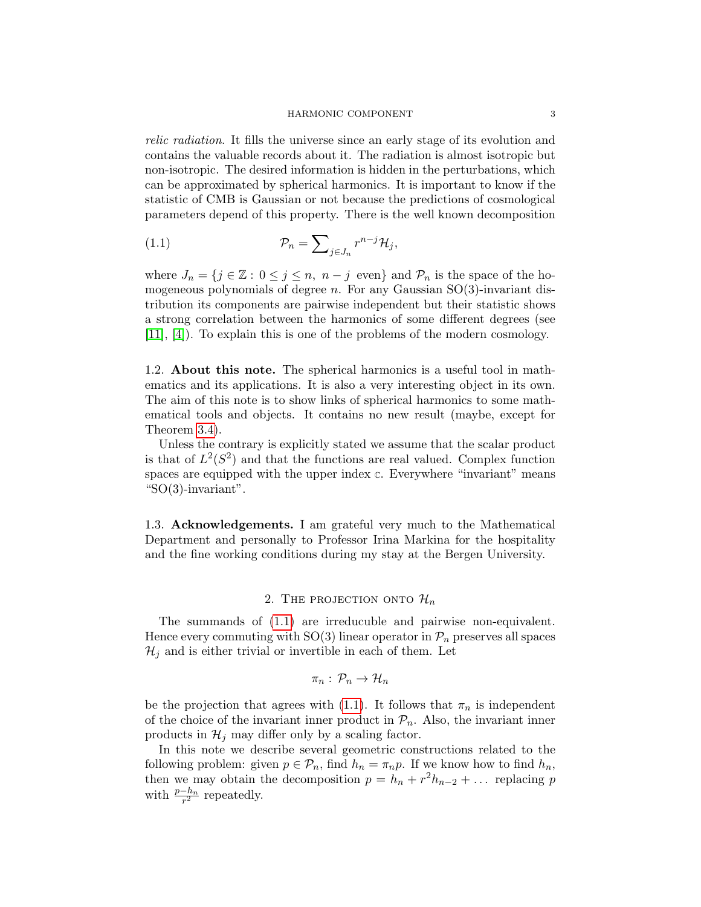#### <span id="page-2-0"></span>HARMONIC COMPONENT 3

relic radiation. It fills the universe since an early stage of its evolution and contains the valuable records about it. The radiation is almost isotropic but non-isotropic. The desired information is hidden in the perturbations, which can be approximated by spherical harmonics. It is important to know if the statistic of CMB is Gaussian or not because the predictions of cosmological parameters depend of this property. There is the well known decomposition

(1.1) 
$$
\mathcal{P}_n = \sum_{j \in J_n} r^{n-j} \mathcal{H}_j,
$$

where  $J_n = \{j \in \mathbb{Z} : 0 \leq j \leq n, n-j \text{ even}\}\$ and  $\mathcal{P}_n$  is the space of the homogeneous polynomials of degree  $n$ . For any Gaussian SO(3)-invariant distribution its components are pairwise independent but their statistic shows a strong correlation between the harmonics of some different degrees (see [\[11\]](#page-10-3), [\[4\]](#page-9-3)). To explain this is one of the problems of the modern cosmology.

1.2. About this note. The spherical harmonics is a useful tool in mathematics and its applications. It is also a very interesting object in its own. The aim of this note is to show links of spherical harmonics to some mathematical tools and objects. It contains no new result (maybe, except for Theorem [3.4\)](#page-9-4).

Unless the contrary is explicitly stated we assume that the scalar product is that of  $L^2(S^2)$  and that the functions are real valued. Complex function spaces are equipped with the upper index  $\mathfrak{c}$ . Everywhere "invariant" means " $SO(3)$ -invariant".

1.3. Acknowledgements. I am grateful very much to the Mathematical Department and personally to Professor Irina Markina for the hospitality and the fine working conditions during my stay at the Bergen University.

# 2. THE PROJECTION ONTO  $\mathcal{H}_n$

The summands of [\(1.1\)](#page-2-0) are irreducuble and pairwise non-equivalent. Hence every commuting with  $SO(3)$  linear operator in  $\mathcal{P}_n$  preserves all spaces  $\mathcal{H}_j$  and is either trivial or invertible in each of them. Let

$$
\pi_n:\,\mathcal{P}_n\to\mathcal{H}_n
$$

be the projection that agrees with [\(1.1\)](#page-2-0). It follows that  $\pi_n$  is independent of the choice of the invariant inner product in  $\mathcal{P}_n$ . Also, the invariant inner products in  $\mathcal{H}_j$  may differ only by a scaling factor.

In this note we describe several geometric constructions related to the following problem: given  $p \in \mathcal{P}_n$ , find  $h_n = \pi_n p$ . If we know how to find  $h_n$ , then we may obtain the decomposition  $p = h_n + r^2 h_{n-2} + \dots$  replacing p with  $\frac{p-h_n}{r^2}$  repeatedly.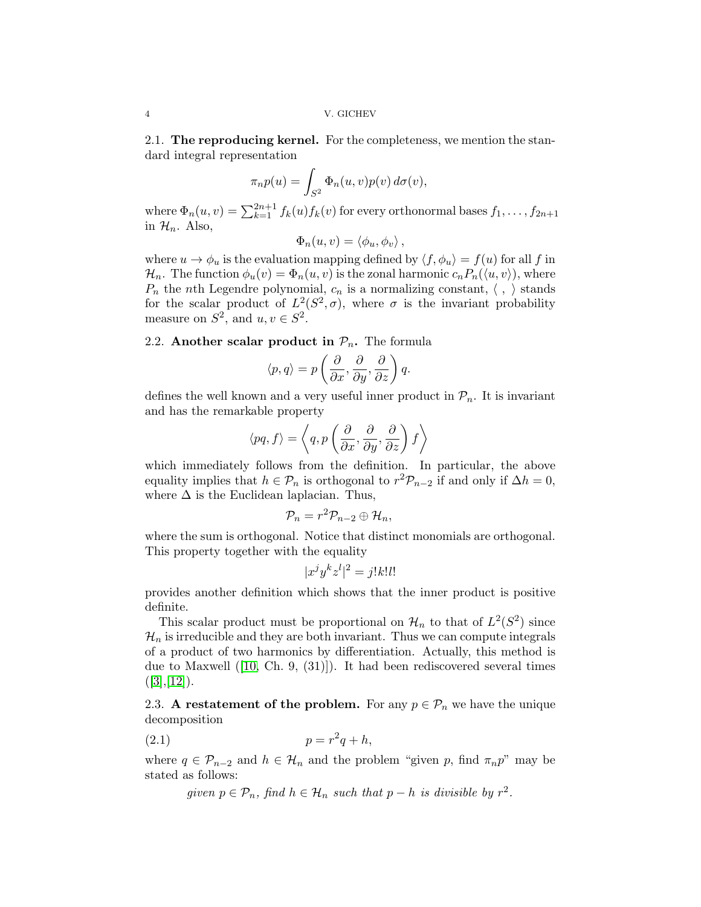2.1. The reproducing kernel. For the completeness, we mention the standard integral representation

$$
\pi_n p(u) = \int_{S^2} \Phi_n(u, v) p(v) d\sigma(v),
$$

where  $\Phi_n(u, v) = \sum_{k=1}^{2n+1} f_k(u) f_k(v)$  for every orthonormal bases  $f_1, \ldots, f_{2n+1}$ in  $\mathcal{H}_n$ . Also,

$$
\Phi_n(u,v) = \langle \phi_u, \phi_v \rangle ,
$$

where  $u \to \phi_u$  is the evaluation mapping defined by  $\langle f, \phi_u \rangle = f(u)$  for all f in  $\mathcal{H}_n$ . The function  $\phi_u(v) = \Phi_n(u, v)$  is the zonal harmonic  $c_n P_n(\langle u, v \rangle)$ , where  $P_n$  the nth Legendre polynomial,  $c_n$  is a normalizing constant,  $\langle , \rangle$  stands for the scalar product of  $L^2(S^2, \sigma)$ , where  $\sigma$  is the invariant probability measure on  $S^2$ , and  $u, v \in S^2$ .

# <span id="page-3-0"></span>2.2. Another scalar product in  $\mathcal{P}_n$ . The formula

$$
\langle p, q \rangle = p\left(\frac{\partial}{\partial x}, \frac{\partial}{\partial y}, \frac{\partial}{\partial z}\right)q.
$$

defines the well known and a very useful inner product in  $\mathcal{P}_n$ . It is invariant and has the remarkable property

$$
\langle pq, f \rangle = \left\langle q, p\left(\frac{\partial}{\partial x}, \frac{\partial}{\partial y}, \frac{\partial}{\partial z}\right) f \right\rangle
$$

which immediately follows from the definition. In particular, the above equality implies that  $h \in \mathcal{P}_n$  is orthogonal to  $r^2 \mathcal{P}_{n-2}$  if and only if  $\Delta h = 0$ , where  $\Delta$  is the Euclidean laplacian. Thus,

$$
\mathcal{P}_n = r^2 \mathcal{P}_{n-2} \oplus \mathcal{H}_n,
$$

where the sum is orthogonal. Notice that distinct monomials are orthogonal. This property together with the equality

$$
|x^j y^k z^l|^2 = j! k! l!
$$

provides another definition which shows that the inner product is positive definite.

This scalar product must be proportional on  $\mathcal{H}_n$  to that of  $L^2(S^2)$  since  $\mathcal{H}_n$  is irreducible and they are both invariant. Thus we can compute integrals of a product of two harmonics by differentiation. Actually, this method is due to Maxwell ([\[10,](#page-10-1) Ch. 9, (31)]). It had been rediscovered several times  $([3],[12]).$  $([3],[12]).$  $([3],[12]).$  $([3],[12]).$  $([3],[12]).$ 

<span id="page-3-2"></span>2.3. A restatement of the problem. For any  $p \in \mathcal{P}_n$  we have the unique decomposition

$$
(2.1) \t\t\t p = r^2q + h,
$$

where  $q \in \mathcal{P}_{n-2}$  and  $h \in \mathcal{H}_n$  and the problem "given p, find  $\pi_n p$ " may be stated as follows:

<span id="page-3-1"></span>given  $p \in \mathcal{P}_n$ , find  $h \in \mathcal{H}_n$  such that  $p - h$  is divisible by  $r^2$ .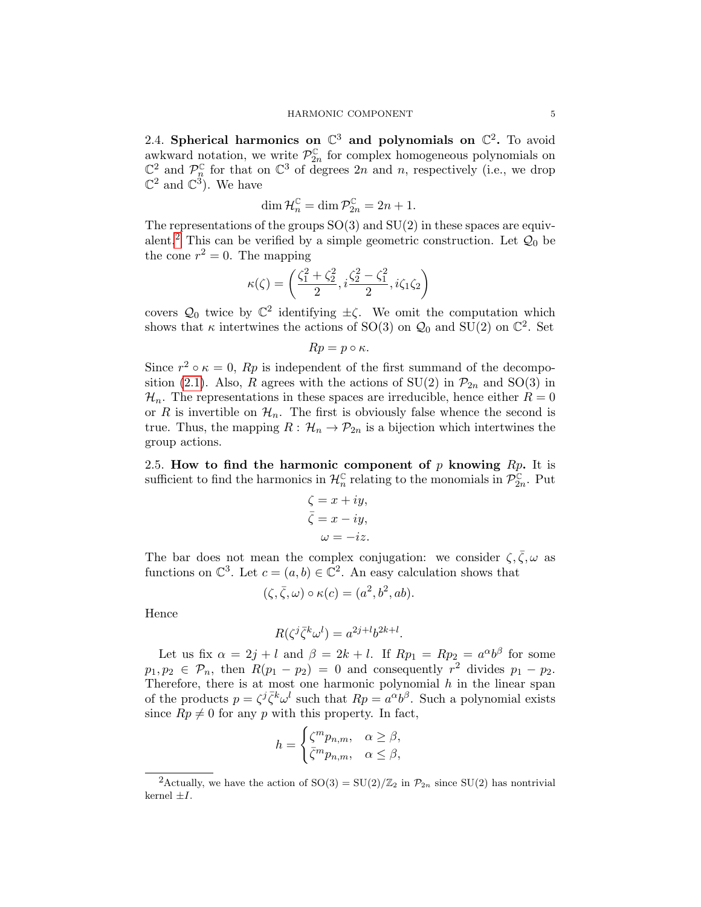2.4. Spherical harmonics on  $\mathbb{C}^3$  and polynomials on  $\mathbb{C}^2$ . To avoid awkward notation, we write  $\mathcal{P}_{2n}^{\mathbb{C}}$  for complex homogeneous polynomials on  $\mathbb{C}^2$  and  $\mathcal{P}_n^{\mathbb{C}}$  for that on  $\mathbb{C}^3$  of degrees  $2n$  and n, respectively (i.e., we drop  $\mathbb{C}^2$  and  $\mathbb{C}^3$ ). We have

$$
\dim \mathcal{H}_n^{\mathbb{C}} = \dim \mathcal{P}_{2n}^{\mathbb{C}} = 2n + 1.
$$

The representations of the groups  $SO(3)$  and  $SU(2)$  in these spaces are equiv-alent.<sup>[2](#page-4-0)</sup> This can be verified by a simple geometric construction. Let  $\mathcal{Q}_0$  be the cone  $r^2 = 0$ . The mapping

$$
\kappa(\zeta)=\left(\frac{\zeta_1^2+\zeta_2^2}{2},i\frac{\zeta_2^2-\zeta_1^2}{2},i\zeta_1\zeta_2\right)
$$

covers  $\mathcal{Q}_0$  twice by  $\mathbb{C}^2$  identifying  $\pm \zeta$ . We omit the computation which shows that  $\kappa$  intertwines the actions of SO(3) on  $\mathcal{Q}_0$  and SU(2) on  $\mathbb{C}^2$ . Set

$$
Rp = p \circ \kappa.
$$

Since  $r^2 \circ \kappa = 0$ ,  $Rp$  is independent of the first summand of the decompo-sition [\(2.1\)](#page-3-1). Also, R agrees with the actions of SU(2) in  $\mathcal{P}_{2n}$  and SO(3) in  $\mathcal{H}_n$ . The representations in these spaces are irreducible, hence either  $R = 0$ or R is invertible on  $\mathcal{H}_n$ . The first is obviously false whence the second is true. Thus, the mapping  $R: \mathcal{H}_n \to \mathcal{P}_{2n}$  is a bijection which intertwines the group actions.

<span id="page-4-1"></span>2.5. How to find the harmonic component of  $p$  knowing  $Rp$ . It is sufficient to find the harmonics in  $\mathcal{H}_n^{\mathbb{C}}$  relating to the monomials in  $\mathcal{P}_{2n}^{\mathbb{C}}$ . Put

$$
\zeta = x + iy,
$$
  
\n
$$
\bar{\zeta} = x - iy,
$$
  
\n
$$
\omega = -iz.
$$

The bar does not mean the complex conjugation: we consider  $\zeta, \bar{\zeta}, \omega$  as functions on  $\mathbb{C}^3$ . Let  $c = (a, b) \in \mathbb{C}^2$ . An easy calculation shows that

$$
(\zeta, \overline{\zeta}, \omega) \circ \kappa(c) = (a^2, b^2, ab).
$$

Hence

$$
R(\zeta^j \bar{\zeta}^k \omega^l) = a^{2j+l} b^{2k+l}.
$$

Let us fix  $\alpha = 2j + l$  and  $\beta = 2k + l$ . If  $Rp_1 = Rp_2 = a^{\alpha}b^{\beta}$  for some  $p_1, p_2 \in \mathcal{P}_n$ , then  $R(p_1 - p_2) = 0$  and consequently  $r^2$  divides  $p_1 - p_2$ . Therefore, there is at most one harmonic polynomial  $h$  in the linear span of the products  $p = \zeta^j \bar{\zeta}^k \omega^l$  such that  $Rp = a^{\alpha}b^{\beta}$ . Such a polynomial exists since  $Rp \neq 0$  for any p with this property. In fact,

$$
h = \begin{cases} \zeta^m p_{n,m}, & \alpha \ge \beta, \\ \bar{\zeta}^m p_{n,m}, & \alpha \le \beta, \end{cases}
$$

<span id="page-4-0"></span><sup>&</sup>lt;sup>2</sup>Actually, we have the action of  $SO(3) = SU(2)/\mathbb{Z}_2$  in  $\mathcal{P}_{2n}$  since  $SU(2)$  has nontrivial kernel  $\pm I$ .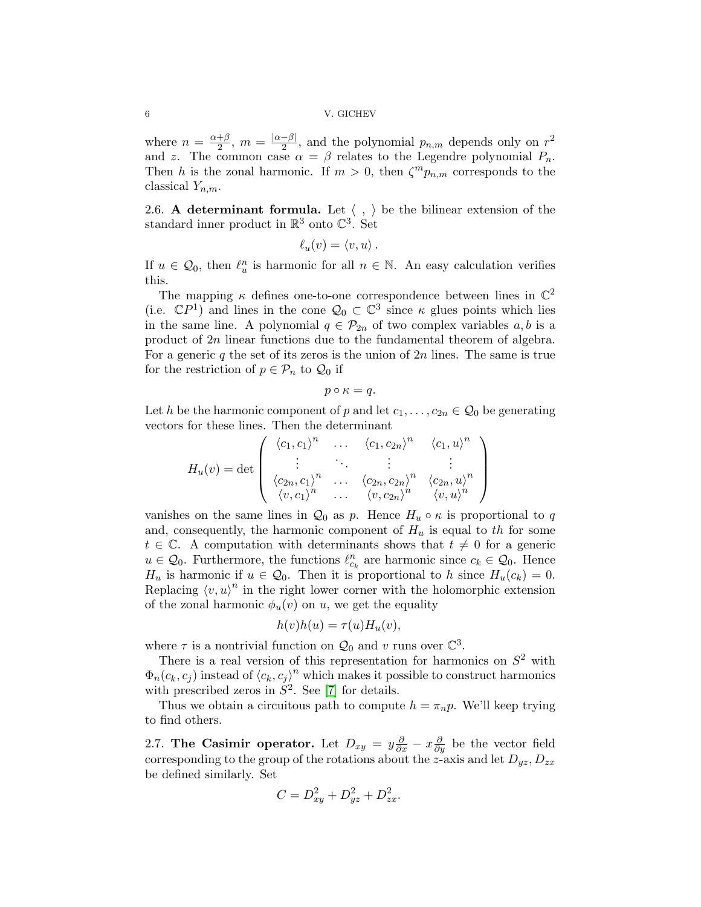#### 6 V. GICHEV

where  $n = \frac{\alpha + \beta}{2}$  $\frac{+\beta}{2}, m = \frac{|\alpha-\beta|}{2}$  $\frac{-\beta|}{2}$ , and the polynomial  $p_{n,m}$  depends only on  $r^2$ and z. The common case  $\alpha = \beta$  relates to the Legendre polynomial  $P_n$ . Then h is the zonal harmonic. If  $m > 0$ , then  $\zeta^m p_{n,m}$  corresponds to the classical  $Y_{n,m}$ .

2.6. A determinant formula. Let  $\langle , \rangle$  be the bilinear extension of the standard inner product in  $\mathbb{R}^3$  onto  $\mathbb{C}^3$ . Set

$$
\ell_u(v) = \langle v, u \rangle.
$$

If  $u \in \mathcal{Q}_0$ , then  $\ell_u^n$  is harmonic for all  $n \in \mathbb{N}$ . An easy calculation verifies this.

The mapping  $\kappa$  defines one-to-one correspondence between lines in  $\mathbb{C}^2$ (i.e.  $\mathbb{C}P^1$ ) and lines in the cone  $\mathcal{Q}_0 \subset \mathbb{C}^3$  since  $\kappa$  glues points which lies in the same line. A polynomial  $q \in \mathcal{P}_{2n}$  of two complex variables  $a, b$  is a product of 2n linear functions due to the fundamental theorem of algebra. For a generic  $q$  the set of its zeros is the union of  $2n$  lines. The same is true for the restriction of  $p \in \mathcal{P}_n$  to  $\mathcal{Q}_0$  if

$$
p \circ \kappa = q.
$$

Let h be the harmonic component of p and let  $c_1, \ldots, c_{2n} \in \mathcal{Q}_0$  be generating vectors for these lines. Then the determinant

$$
H_u(v) = \det \left( \begin{array}{ccc} \langle c_1, c_1 \rangle^n & \dots & \langle c_1, c_{2n} \rangle^n & \langle c_1, u \rangle^n \\ \vdots & \ddots & \vdots & \vdots \\ \langle c_{2n}, c_1 \rangle^n & \dots & \langle c_{2n}, c_{2n} \rangle^n & \langle c_{2n}, u \rangle^n \\ \langle v, c_1 \rangle^n & \dots & \langle v, c_{2n} \rangle^n & \langle v, u \rangle^n \end{array} \right)
$$

vanishes on the same lines in  $\mathcal{Q}_0$  as p. Hence  $H_u \circ \kappa$  is proportional to q and, consequently, the harmonic component of  $H_u$  is equal to the for some  $t \in \mathbb{C}$ . A computation with determinants shows that  $t \neq 0$  for a generic  $u \in \mathcal{Q}_0$ . Furthermore, the functions  $\ell_{c_k}^n$  are harmonic since  $c_k \in \mathcal{Q}_0$ . Hence  $H_u$  is harmonic if  $u \in \mathcal{Q}_0$ . Then it is proportional to h since  $H_u(c_k) = 0$ . Replacing  $\langle v, u \rangle^n$  in the right lower corner with the holomorphic extension of the zonal harmonic  $\phi_u(v)$  on u, we get the equality

$$
h(v)h(u) = \tau(u)H_u(v)
$$

where  $\tau$  is a nontrivial function on  $\mathcal{Q}_0$  and v runs over  $\mathbb{C}^3$ .

There is a real version of this representation for harmonics on  $S^2$  with  $\Phi_n(c_k, c_j)$  instead of  $\langle c_k, c_j \rangle^n$  which makes it possible to construct harmonics with prescribed zeros in  $S^2$ . See [\[7\]](#page-9-5) for details.

Thus we obtain a circuitous path to compute  $h = \pi_n p$ . We'll keep trying to find others.

2.7. The Casimir operator. Let  $D_{xy} = y \frac{\partial}{\partial x} - x \frac{\partial}{\partial y}$  be the vector field corresponding to the group of the rotations about the z-axis and let  $D_{yz}, D_{zx}$ be defined similarly. Set

$$
C = D_{xy}^2 + D_{yz}^2 + D_{zx}^2.
$$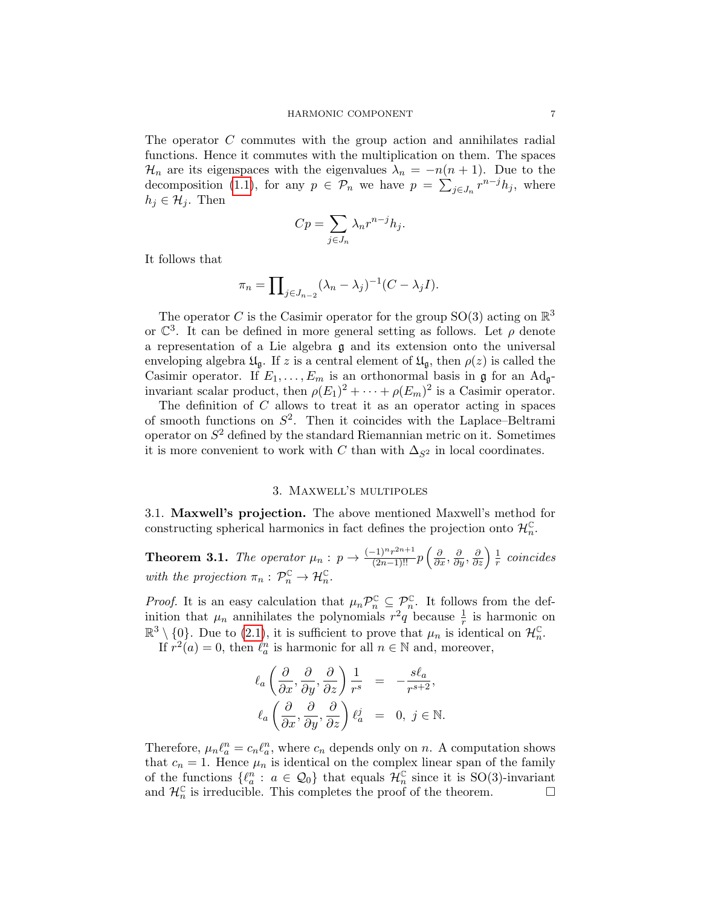The operator C commutes with the group action and annihilates radial functions. Hence it commutes with the multiplication on them. The spaces  $\mathcal{H}_n$  are its eigenspaces with the eigenvalues  $\lambda_n = -n(n+1)$ . Due to the decomposition [\(1.1\)](#page-2-0), for any  $p \in \mathcal{P}_n$  we have  $p = \sum_{j \in J_n} r^{n-j} h_j$ , where  $h_j \in \mathcal{H}_j$ . Then

$$
Cp = \sum_{j \in J_n} \lambda_n r^{n-j} h_j.
$$

It follows that

$$
\pi_n = \prod_{j \in J_{n-2}} (\lambda_n - \lambda_j)^{-1} (C - \lambda_j I).
$$

The operator C is the Casimir operator for the group SO(3) acting on  $\mathbb{R}^3$ or  $\mathbb{C}^3$ . It can be defined in more general setting as follows. Let  $\rho$  denote a representation of a Lie algebra g and its extension onto the universal enveloping algebra  $\mathfrak{U}_{\mathfrak{g}}$ . If z is a central element of  $\mathfrak{U}_{\mathfrak{g}}$ , then  $\rho(z)$  is called the Casimir operator. If  $E_1, \ldots, E_m$  is an orthonormal basis in g for an Ad<sub>g</sub>invariant scalar product, then  $\rho(E_1)^2 + \cdots + \rho(E_m)^2$  is a Casimir operator.

The definition of  $C$  allows to treat it as an operator acting in spaces of smooth functions on  $S^2$ . Then it coincides with the Laplace–Beltrami operator on  $S^2$  defined by the standard Riemannian metric on it. Sometimes it is more convenient to work with C than with  $\Delta_{S^2}$  in local coordinates.

# 3. Maxwell's multipoles

<span id="page-6-0"></span>3.1. Maxwell's projection. The above mentioned Maxwell's method for constructing spherical harmonics in fact defines the projection onto  $\mathcal{H}_n^{\mathbb{C}}$ .

**Theorem 3.1.** The operator  $\mu_n : p \to \frac{(-1)^n r^{2n+1}}{(2n-1)!!} p\left(\frac{\partial}{\partial x}, \frac{\partial}{\partial y}, \frac{\partial}{\partial z}\right) \frac{1}{r}$  $\frac{1}{r}$  coincides with the projection  $\pi_n : \mathcal{P}_n^{\mathbb{C}} \to \mathcal{H}_n^{\mathbb{C}}$ .

*Proof.* It is an easy calculation that  $\mu_n \mathcal{P}_n^{\mathbb{C}} \subseteq \mathcal{P}_n^{\mathbb{C}}$ . It follows from the definition that  $\mu_n$  annihilates the polynomials  $r^2q$  because  $\frac{1}{r}$  is harmonic on  $\mathbb{R}^3 \setminus \{0\}$ . Due to [\(2.1\)](#page-3-1), it is sufficient to prove that  $\mu_n$  is identical on  $\mathcal{H}_n^{\mathbb{C}}$ .

If  $r^2(a) = 0$ , then  $\ell_a^n$  is harmonic for all  $n \in \mathbb{N}$  and, moreover,

$$
\ell_a \left( \frac{\partial}{\partial x}, \frac{\partial}{\partial y}, \frac{\partial}{\partial z} \right) \frac{1}{r^s} = -\frac{s \ell_a}{r^{s+2}},
$$
  

$$
\ell_a \left( \frac{\partial}{\partial x}, \frac{\partial}{\partial y}, \frac{\partial}{\partial z} \right) \ell_a^j = 0, j \in \mathbb{N}.
$$

Therefore,  $\mu_n \ell_a^n = c_n \ell_a^n$ , where  $c_n$  depends only on n. A computation shows that  $c_n = 1$ . Hence  $\mu_n$  is identical on the complex linear span of the family of the functions  $\{\ell_a^n : a \in \mathcal{Q}_0\}$  that equals  $\mathcal{H}_n^{\mathbb{C}}$  since it is SO(3)-invariant and  $\mathcal{H}_n^{\mathbb{C}}$  is irreducible. This completes the proof of the theorem.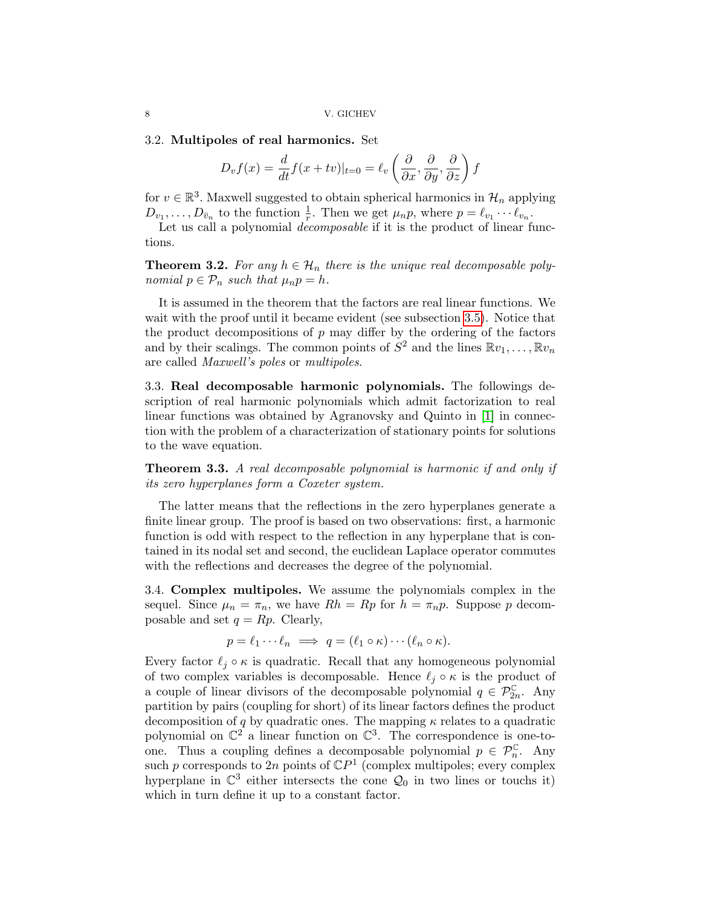### 3.2. Multipoles of real harmonics. Set

$$
D_v f(x) = \frac{d}{dt} f(x + tv)|_{t=0} = \ell_v \left( \frac{\partial}{\partial x}, \frac{\partial}{\partial y}, \frac{\partial}{\partial z} \right) f
$$

for  $v \in \mathbb{R}^3$ . Maxwell suggested to obtain spherical harmonics in  $\mathcal{H}_n$  applying  $D_{v_1}, \ldots, D_{\bar{v}_n}$  to the function  $\frac{1}{r}$ . Then we get  $\mu_n p$ , where  $p = \ell_{v_1} \cdots \ell_{v_n}$ .

Let us call a polynomial *decomposable* if it is the product of linear functions.

<span id="page-7-0"></span>**Theorem 3.2.** For any  $h \in \mathcal{H}_n$  there is the unique real decomposable polynomial  $p \in \mathcal{P}_n$  such that  $\mu_n p = h$ .

It is assumed in the theorem that the factors are real linear functions. We wait with the proof until it became evident (see subsection [3.5\)](#page-8-0). Notice that the product decompositions of  $p$  may differ by the ordering of the factors and by their scalings. The common points of  $S^2$  and the lines  $\mathbb{R}v_1, \ldots, \mathbb{R}v_n$ are called Maxwell's poles or multipoles.

3.3. Real decomposable harmonic polynomials. The followings description of real harmonic polynomials which admit factorization to real linear functions was obtained by Agranovsky and Quinto in [\[1\]](#page-9-6) in connection with the problem of a characterization of stationary points for solutions to the wave equation.

**Theorem 3.3.** A real decomposable polynomial is harmonic if and only if its zero hyperplanes form a Coxeter system.

The latter means that the reflections in the zero hyperplanes generate a finite linear group. The proof is based on two observations: first, a harmonic function is odd with respect to the reflection in any hyperplane that is contained in its nodal set and second, the euclidean Laplace operator commutes with the reflections and decreases the degree of the polynomial.

3.4. Complex multipoles. We assume the polynomials complex in the sequel. Since  $\mu_n = \pi_n$ , we have  $Rh = Rp$  for  $h = \pi_np$ . Suppose p decomposable and set  $q = Rp$ . Clearly,

$$
p = \ell_1 \cdots \ell_n \implies q = (\ell_1 \circ \kappa) \cdots (\ell_n \circ \kappa).
$$

Every factor  $\ell_j \circ \kappa$  is quadratic. Recall that any homogeneous polynomial of two complex variables is decomposable. Hence  $\ell_j \circ \kappa$  is the product of a couple of linear divisors of the decomposable polynomial  $q \in \mathcal{P}_{2n}^{\mathbb{C}}$ . Any partition by pairs (coupling for short) of its linear factors defines the product decomposition of q by quadratic ones. The mapping  $\kappa$  relates to a quadratic polynomial on  $\mathbb{C}^2$  a linear function on  $\mathbb{C}^3$ . The correspondence is one-toone. Thus a coupling defines a decomposable polynomial  $p \in \mathcal{P}_n^{\mathbb{C}}$ . Any such p corresponds to 2n points of  $\mathbb{C}P^1$  (complex multipoles; every complex hyperplane in  $\mathbb{C}^3$  either intersects the cone  $\mathcal{Q}_0$  in two lines or touchs it) which in turn define it up to a constant factor.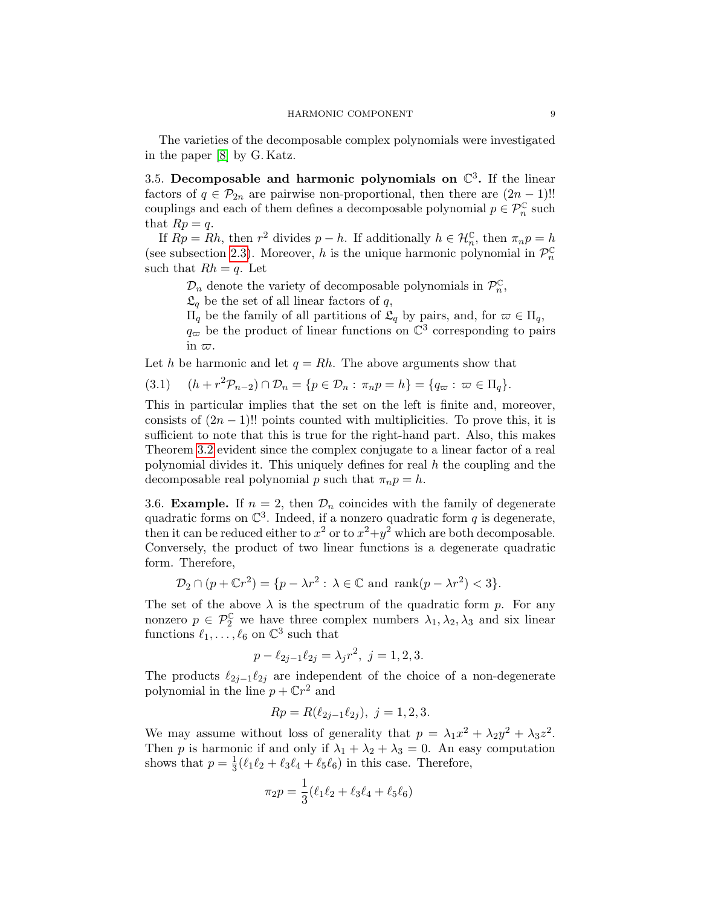The varieties of the decomposable complex polynomials were investigated in the paper [\[8\]](#page-10-5) by G. Katz.

<span id="page-8-0"></span>3.5. Decomposable and harmonic polynomials on  $\mathbb{C}^3$ . If the linear factors of  $q \in \mathcal{P}_{2n}$  are pairwise non-proportional, then there are  $(2n-1)!!$ couplings and each of them defines a decomposable polynomial  $p\in\mathcal{P}_n^{\mathbb{C}}$  such that  $Rp = q$ .

If  $Rp = Rh$ , then  $r^2$  divides  $p - h$ . If additionally  $h \in \mathcal{H}_n^{\mathbb{C}}$ , then  $\pi_n p = h$ (see subsection [2.3\)](#page-3-2). Moreover, h is the unique harmonic polynomial in  $\mathcal{P}_n^{\mathbb{C}}$ such that  $Rh = q$ . Let

 $\mathcal{D}_n$  denote the variety of decomposable polynomials in  $\mathcal{P}_n^{\mathbb{C}}$ ,

 $\mathfrak{L}_q$  be the set of all linear factors of q,

 $\Pi_q$  be the family of all partitions of  $\mathfrak{L}_q$  by pairs, and, for  $\varpi \in \Pi_q$ ,

 $q_{\varpi}$  be the product of linear functions on  $\mathbb{C}^3$  corresponding to pairs in  $\varpi$ .

Let h be harmonic and let  $q = Rh$ . The above arguments show that

<span id="page-8-1"></span>
$$
(3.1) \quad (h+r^2\mathcal{P}_{n-2}) \cap \mathcal{D}_n = \{p \in \mathcal{D}_n : \pi_n p = h\} = \{q_\varpi : \varpi \in \Pi_q\}.
$$

This in particular implies that the set on the left is finite and, moreover, consists of  $(2n-1)!!$  points counted with multiplicities. To prove this, it is sufficient to note that this is true for the right-hand part. Also, this makes Theorem [3.2](#page-7-0) evident since the complex conjugate to a linear factor of a real polynomial divides it. This uniquely defines for real  $h$  the coupling and the decomposable real polynomial p such that  $\pi_n p = h$ .

3.6. **Example.** If  $n = 2$ , then  $\mathcal{D}_n$  coincides with the family of degenerate quadratic forms on  $\mathbb{C}^3$ . Indeed, if a nonzero quadratic form q is degenerate, then it can be reduced either to  $x^2$  or to  $x^2+y^2$  which are both decomposable. Conversely, the product of two linear functions is a degenerate quadratic form. Therefore,

$$
\mathcal{D}_2 \cap (p + \mathbb{C}r^2) = \{p - \lambda r^2 : \lambda \in \mathbb{C} \text{ and } \operatorname{rank}(p - \lambda r^2) < 3\}.
$$

The set of the above  $\lambda$  is the spectrum of the quadratic form p. For any nonzero  $p \in \mathcal{P}_2^{\mathbb{C}}$  we have three complex numbers  $\lambda_1, \lambda_2, \lambda_3$  and six linear functions  $\ell_1, \ldots, \ell_6$  on  $\mathbb{C}^3$  such that

$$
p - \ell_{2j-1}\ell_{2j} = \lambda_j r^2, \ j = 1, 2, 3.
$$

The products  $\ell_{2j-1}\ell_{2j}$  are independent of the choice of a non-degenerate polynomial in the line  $p + \mathbb{C}r^2$  and

$$
Rp = R(\ell_{2j-1}\ell_{2j}), \ j = 1, 2, 3.
$$

We may assume without loss of generality that  $p = \lambda_1 x^2 + \lambda_2 y^2 + \lambda_3 z^2$ . Then p is harmonic if and only if  $\lambda_1 + \lambda_2 + \lambda_3 = 0$ . An easy computation shows that  $p=\frac{1}{3}$  $\frac{1}{3}(\ell_1\ell_2 + \ell_3\ell_4 + \ell_5\ell_6)$  in this case. Therefore,

$$
\pi_2 p = \frac{1}{3} (\ell_1 \ell_2 + \ell_3 \ell_4 + \ell_5 \ell_6)
$$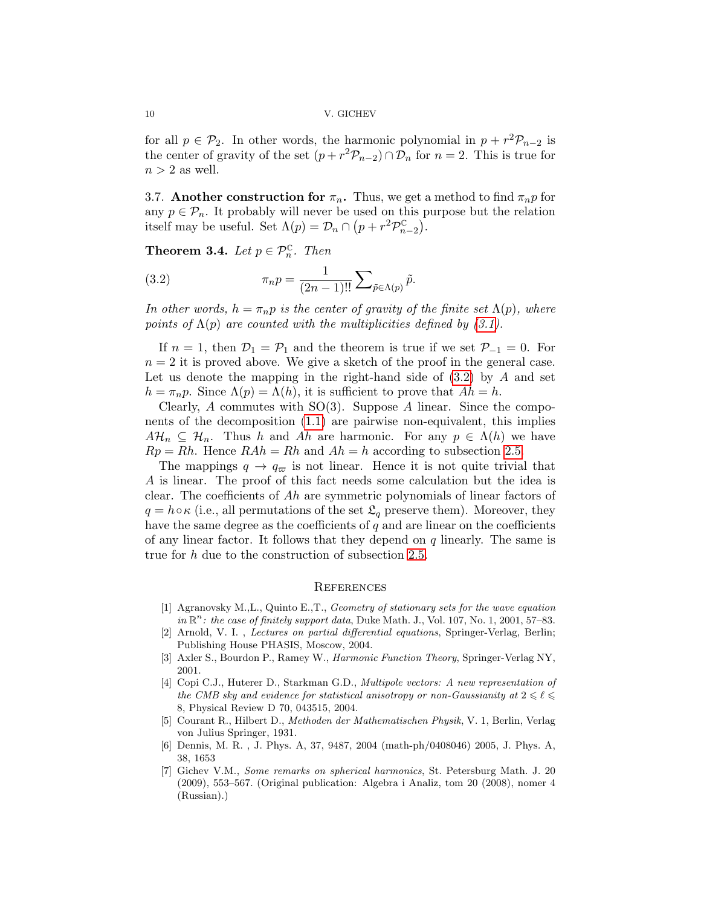for all  $p \in \mathcal{P}_2$ . In other words, the harmonic polynomial in  $p + r^2 \mathcal{P}_{n-2}$  is the center of gravity of the set  $(p + r^2 \mathcal{P}_{n-2}) \cap \mathcal{D}_n$  for  $n = 2$ . This is true for  $n > 2$  as well.

3.7. Another construction for  $\pi_n$ . Thus, we get a method to find  $\pi_n p$  for any  $p \in \mathcal{P}_n$ . It probably will never be used on this purpose but the relation itself may be useful. Set  $\Lambda(p) = \mathcal{D}_n \cap (p + r^2 \mathcal{P}_{n-2}^{\mathbb{C}})$ .

<span id="page-9-4"></span>**Theorem 3.4.** Let  $p \in \mathcal{P}_n^{\mathbb{C}}$ . Then

<span id="page-9-7"></span>(3.2) 
$$
\pi_n p = \frac{1}{(2n-1)!!} \sum_{\tilde{p} \in \Lambda(p)} \tilde{p}.
$$

In other words,  $h = \pi_n p$  is the center of gravity of the finite set  $\Lambda(p)$ , where points of  $\Lambda(p)$  are counted with the multiplicities defined by [\(3.1\)](#page-8-1).

If  $n = 1$ , then  $\mathcal{D}_1 = \mathcal{P}_1$  and the theorem is true if we set  $\mathcal{P}_{-1} = 0$ . For  $n = 2$  it is proved above. We give a sketch of the proof in the general case. Let us denote the mapping in the right-hand side of  $(3.2)$  by A and set  $h = \pi_n p$ . Since  $\Lambda(p) = \Lambda(h)$ , it is sufficient to prove that  $Ah = h$ .

Clearly, A commutes with  $SO(3)$ . Suppose A linear. Since the components of the decomposition [\(1.1\)](#page-2-0) are pairwise non-equivalent, this implies  $A\mathcal{H}_n \subseteq \mathcal{H}_n$ . Thus h and Ah are harmonic. For any  $p \in \Lambda(h)$  we have  $Rp = Rh$ . Hence  $RAh = Rh$  and  $Ah = h$  according to subsection [2.5.](#page-4-1)

The mappings  $q \to q_{\varpi}$  is not linear. Hence it is not quite trivial that A is linear. The proof of this fact needs some calculation but the idea is clear. The coefficients of Ah are symmetric polynomials of linear factors of  $q = h \circ \kappa$  (i.e., all permutations of the set  $\mathfrak{L}_q$  preserve them). Moreover, they have the same degree as the coefficients of  $q$  and are linear on the coefficients of any linear factor. It follows that they depend on  $q$  linearly. The same is true for h due to the construction of subsection [2.5.](#page-4-1)

## **REFERENCES**

- <span id="page-9-6"></span>[1] Agranovsky M.,L., Quinto E.,T., Geometry of stationary sets for the wave equation  $in \mathbb{R}^n$ : the case of finitely support data, Duke Math. J., Vol. 107, No. 1, 2001, 57-83.
- <span id="page-9-1"></span>[2] Arnold, V. I. , Lectures on partial differential equations, Springer-Verlag, Berlin; Publishing House PHASIS, Moscow, 2004.
- <span id="page-9-2"></span>[3] Axler S., Bourdon P., Ramey W., Harmonic Function Theory, Springer-Verlag NY, 2001.
- <span id="page-9-3"></span>[4] Copi C.J., Huterer D., Starkman G.D., Multipole vectors: A new representation of the CMB sky and evidence for statistical anisotropy or non-Gaussianity at  $2 \leqslant \ell \leqslant$ 8, Physical Review D 70, 043515, 2004.
- <span id="page-9-0"></span>[5] Courant R., Hilbert D., Methoden der Mathematischen Physik, V. 1, Berlin, Verlag von Julius Springer, 1931.
- [6] Dennis, M. R. , J. Phys. A, 37, 9487, 2004 (math-ph/0408046) 2005, J. Phys. A, 38, 1653
- <span id="page-9-5"></span>[7] Gichev V.M., Some remarks on spherical harmonics, St. Petersburg Math. J. 20 (2009), 553–567. (Original publication: Algebra i Analiz, tom 20 (2008), nomer 4 (Russian).)